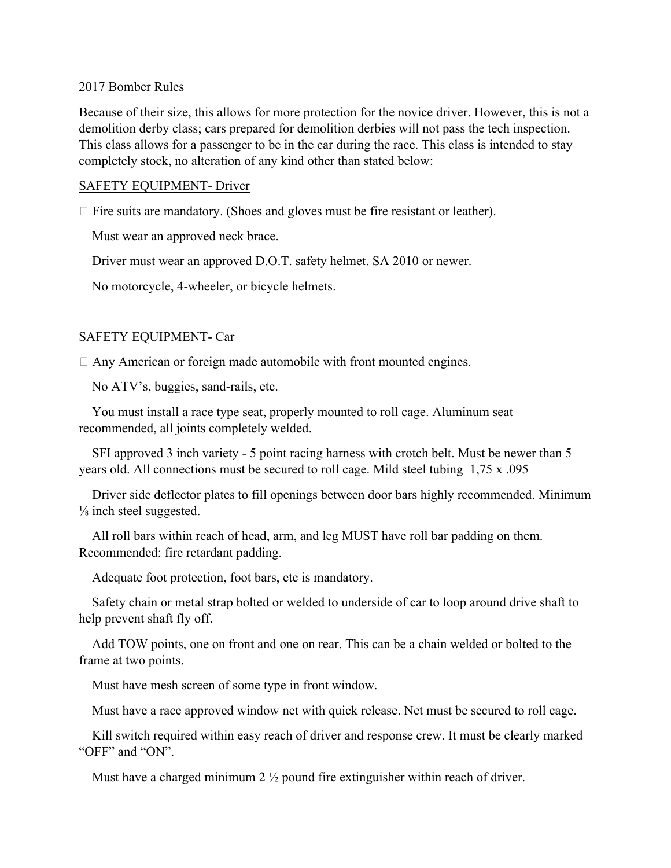#### 2017 Bomber Rules

Because of their size, this allows for more protection for the novice driver. However, this is not a demolition derby class; cars prepared for demolition derbies will not pass the tech inspection. This class allows for a passenger to be in the car during the race. This class is intended to stay completely stock, no alteration of any kind other than stated below:

#### SAFETY EQUIPMENT- Driver

 $\Box$  Fire suits are mandatory. (Shoes and gloves must be fire resistant or leather).

Must wear an approved neck brace.

Driver must wear an approved D.O.T. safety helmet. SA 2010 or newer.

No motorcycle, 4-wheeler, or bicycle helmets.

### SAFETY EQUIPMENT- Car

 $\Box$  Any American or foreign made automobile with front mounted engines.

No ATV's, buggies, sand-rails, etc.

 You must install a race type seat, properly mounted to roll cage. Aluminum seat recommended, all joints completely welded.

 SFI approved 3 inch variety - 5 point racing harness with crotch belt. Must be newer than 5 years old. All connections must be secured to roll cage. Mild steel tubing 1,75 x .095

 Driver side deflector plates to fill openings between door bars highly recommended. Minimum ⅛ inch steel suggested.

 All roll bars within reach of head, arm, and leg MUST have roll bar padding on them. Recommended: fire retardant padding.

Adequate foot protection, foot bars, etc is mandatory.

 Safety chain or metal strap bolted or welded to underside of car to loop around drive shaft to help prevent shaft fly off.

 Add TOW points, one on front and one on rear. This can be a chain welded or bolted to the frame at two points.

Must have mesh screen of some type in front window.

Must have a race approved window net with quick release. Net must be secured to roll cage.

 Kill switch required within easy reach of driver and response crew. It must be clearly marked "OFF" and "ON".

Must have a charged minimum 2 <sup>1</sup>/<sub>2</sub> pound fire extinguisher within reach of driver.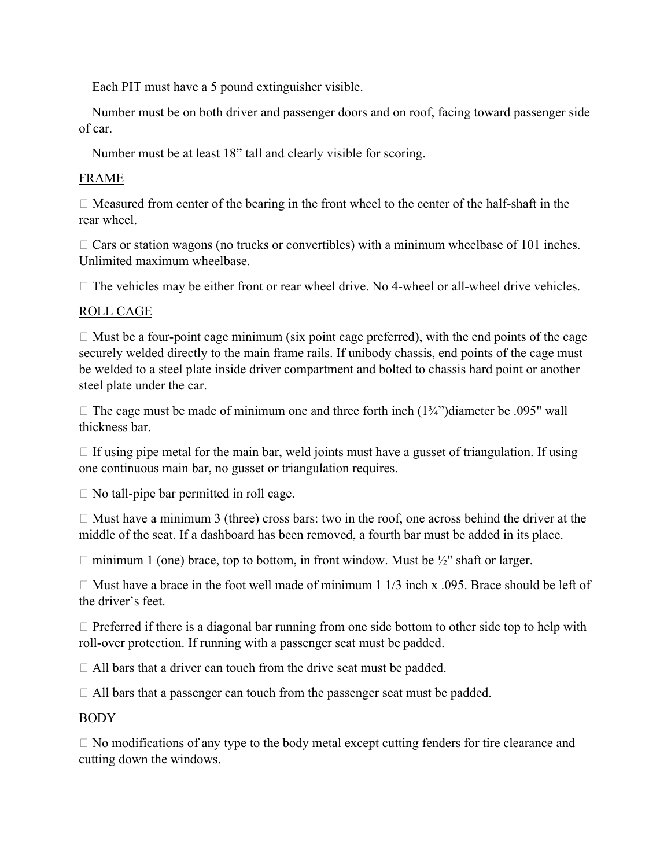Each PIT must have a 5 pound extinguisher visible.

 Number must be on both driver and passenger doors and on roof, facing toward passenger side of car.

Number must be at least 18" tall and clearly visible for scoring.

# FRAME

 $\Box$  Measured from center of the bearing in the front wheel to the center of the half-shaft in the rear wheel.

 $\Box$  Cars or station wagons (no trucks or convertibles) with a minimum wheelbase of 101 inches. Unlimited maximum wheelbase.

 $\Box$  The vehicles may be either front or rear wheel drive. No 4-wheel or all-wheel drive vehicles.

# ROLL CAGE

 $\Box$  Must be a four-point cage minimum (six point cage preferred), with the end points of the cage securely welded directly to the main frame rails. If unibody chassis, end points of the cage must be welded to a steel plate inside driver compartment and bolted to chassis hard point or another steel plate under the car.

 $\Box$  The cage must be made of minimum one and three forth inch  $(1\frac{3}{4})$  diameter be .095" wall thickness bar.

 $\Box$  If using pipe metal for the main bar, weld joints must have a gusset of triangulation. If using one continuous main bar, no gusset or triangulation requires.

 $\Box$  No tall-pipe bar permitted in roll cage.

 $\Box$  Must have a minimum 3 (three) cross bars: two in the roof, one across behind the driver at the middle of the seat. If a dashboard has been removed, a fourth bar must be added in its place.

 $\Box$  minimum 1 (one) brace, top to bottom, in front window. Must be  $\frac{1}{2}$ " shaft or larger.

 $\Box$  Must have a brace in the foot well made of minimum 1 1/3 inch x .095. Brace should be left of the driver's feet.

 $\Box$  Preferred if there is a diagonal bar running from one side bottom to other side top to help with roll-over protection. If running with a passenger seat must be padded.

 $\Box$  All bars that a driver can touch from the drive seat must be padded.

 $\Box$  All bars that a passenger can touch from the passenger seat must be padded.

BODY

 $\Box$  No modifications of any type to the body metal except cutting fenders for tire clearance and cutting down the windows.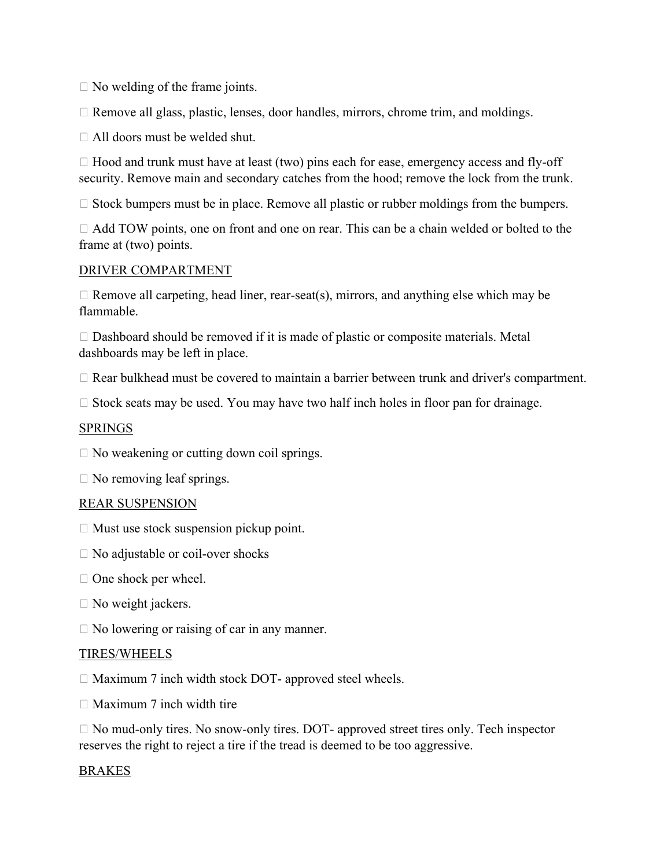$\Box$  No welding of the frame joints.

 $\Box$  Remove all glass, plastic, lenses, door handles, mirrors, chrome trim, and moldings.

All doors must be welded shut.

 $\Box$  Hood and trunk must have at least (two) pins each for ease, emergency access and fly-off security. Remove main and secondary catches from the hood; remove the lock from the trunk.

 $\Box$  Stock bumpers must be in place. Remove all plastic or rubber moldings from the bumpers.

□ Add TOW points, one on front and one on rear. This can be a chain welded or bolted to the frame at (two) points.

### DRIVER COMPARTMENT

 $\Box$  Remove all carpeting, head liner, rear-seat(s), mirrors, and anything else which may be flammable.

 $\Box$  Dashboard should be removed if it is made of plastic or composite materials. Metal dashboards may be left in place.

Rear bulkhead must be covered to maintain a barrier between trunk and driver's compartment.

 $\Box$  Stock seats may be used. You may have two half inch holes in floor pan for drainage.

## SPRINGS

 $\square$  No weakening or cutting down coil springs.

 $\Box$  No removing leaf springs.

### REAR SUSPENSION

- $\Box$  Must use stock suspension pickup point.
- □ No adjustable or coil-over shocks
- $\Box$  One shock per wheel.
- $\Box$  No weight jackers.
- $\Box$  No lowering or raising of car in any manner.

### TIRES/WHEELS

 $\Box$  Maximum 7 inch width stock DOT- approved steel wheels.

 $\Box$  Maximum 7 inch width tire

 $\Box$  No mud-only tires. No snow-only tires. DOT- approved street tires only. Tech inspector reserves the right to reject a tire if the tread is deemed to be too aggressive.

### BRAKES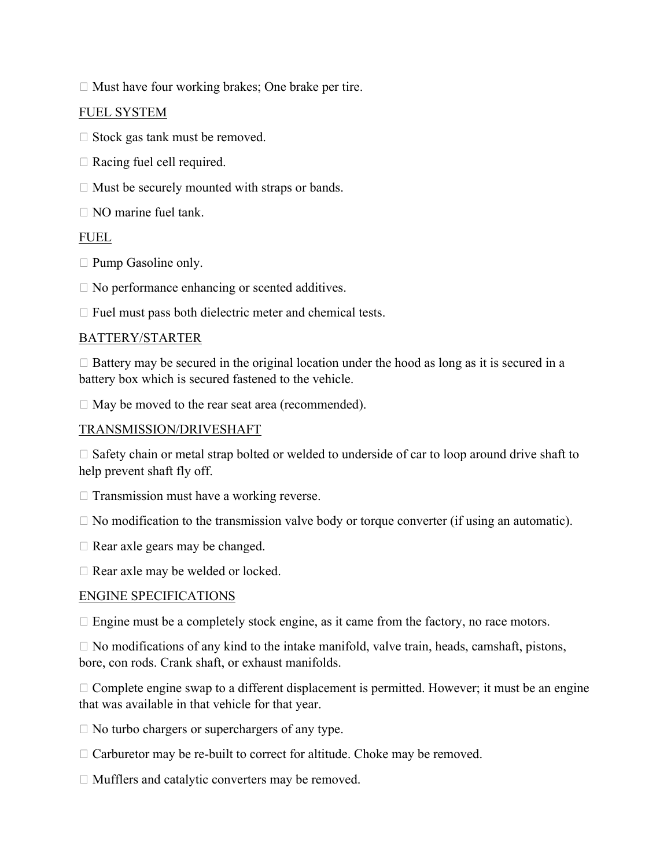$\Box$  Must have four working brakes; One brake per tire.

## FUEL SYSTEM

- $\Box$  Stock gas tank must be removed.
- $\Box$  Racing fuel cell required.
- $\Box$  Must be securely mounted with straps or bands.
- $\Box$  NO marine fuel tank.

## FUEL

- $\Box$  Pump Gasoline only.
- $\Box$  No performance enhancing or scented additives.

 $\Box$  Fuel must pass both dielectric meter and chemical tests.

## BATTERY/STARTER

 $\Box$  Battery may be secured in the original location under the hood as long as it is secured in a battery box which is secured fastened to the vehicle.

 $\Box$  May be moved to the rear seat area (recommended).

## TRANSMISSION/DRIVESHAFT

 $\Box$  Safety chain or metal strap bolted or welded to underside of car to loop around drive shaft to help prevent shaft fly off.

- $\Box$  Transmission must have a working reverse.
- $\Box$  No modification to the transmission valve body or torque converter (if using an automatic).
- $\Box$  Rear axle gears may be changed.
- □ Rear axle may be welded or locked.

### ENGINE SPECIFICATIONS

 $\Box$  Engine must be a completely stock engine, as it came from the factory, no race motors.

 $\Box$  No modifications of any kind to the intake manifold, valve train, heads, camshaft, pistons, bore, con rods. Crank shaft, or exhaust manifolds.

 $\Box$  Complete engine swap to a different displacement is permitted. However; it must be an engine that was available in that vehicle for that year.

 $\Box$  No turbo chargers or superchargers of any type.

- $\Box$  Carburetor may be re-built to correct for altitude. Choke may be removed.
- $\Box$  Mufflers and catalytic converters may be removed.